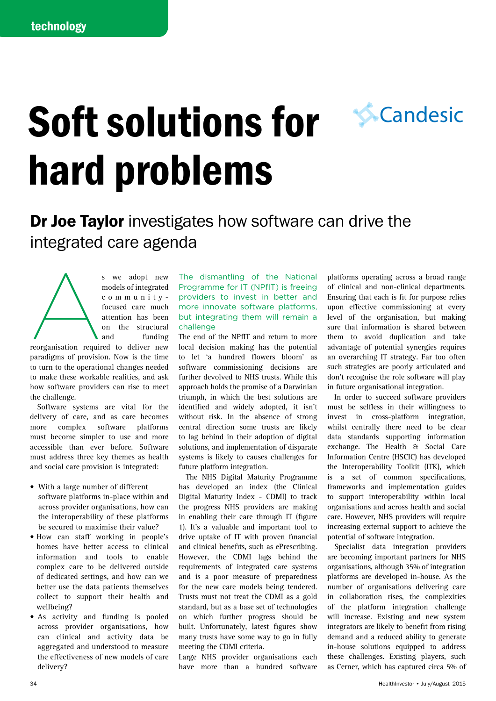# Soft solutions for hard problems



s we adopt new<br>models of integrated<br>c o m m u n i t y -<br>focused care much<br>attention has been<br>on the structural<br>and funding<br>reorganisation required to deliver new models of integrated communityfocused care much attention has been on the structural and funding reorganisation required to deliver new paradigms of provision. Now is the time to turn to the operational changes needed to make these workable realities, and ask how software providers can rise to meet the challenge.

Software systems are vital for the delivery of care, and as care becomes more complex software platforms must become simpler to use and more accessible than ever before. Software must address three key themes as health and social care provision is integrated:

- • With a large number of different software platforms in-place within and across provider organisations, how can the interoperability of these platforms be secured to maximise their value?
- How can staff working in people's homes have better access to clinical information and tools to enable complex care to be delivered outside of dedicated settings, and how can we better use the data patients themselves collect to support their health and wellbeing?
- As activity and funding is pooled across provider organisations, how can clinical and activity data be aggregated and understood to measure the effectiveness of new models of care delivery?

The dismantling of the National Programme for IT (NPfIT) is freeing providers to invest in better and more innovate software platforms, but integrating them will remain a challenge

The end of the NPfIT and return to more local decision making has the potential to let 'a hundred flowers bloom' as software commissioning decisions are further devolved to NHS trusts. While this approach holds the promise of a Darwinian triumph, in which the best solutions are identified and widely adopted, it isn't without risk. In the absence of strong central direction some trusts are likely to lag behind in their adoption of digital solutions, and implementation of disparate systems is likely to causes challenges for future platform integration.

The NHS Digital Maturity Programme has developed an index (the Clinical Digital Maturity Index - CDMI) to track the progress NHS providers are making in enabling their care through IT (figure 1). It's a valuable and important tool to drive uptake of IT with proven financial and clinical benefits, such as ePrescribing. However, the CDMI lags behind the requirements of integrated care systems and is a poor measure of preparedness for the new care models being tendered. Trusts must not treat the CDMI as a gold standard, but as a base set of technologies on which further progress should be built. Unfortunately, latest figures show many trusts have some way to go in fully meeting the CDMI criteria.

Large NHS provider organisations each have more than a hundred software platforms operating across a broad range of clinical and non-clinical departments. Ensuring that each is fit for purpose relies upon effective commissioning at every level of the organisation, but making sure that information is shared between them to avoid duplication and take advantage of potential synergies requires an overarching IT strategy. Far too often such strategies are poorly articulated and don't recognise the role software will play in future organisational integration.

**S**Candesic

In order to succeed software providers must be selfless in their willingness to invest in cross-platform integration, whilst centrally there need to be clear data standards supporting information exchange. The Health & Social Care Information Centre (HSCIC) has developed the Interoperability Toolkit (ITK), which is a set of common specifications, frameworks and implementation guides to support interoperability within local organisations and across health and social care. However, NHS providers will require increasing external support to achieve the potential of software integration.

Specialist data integration providers are becoming important partners for NHS organisations, although 35% of integration platforms are developed in-house. As the number of organisations delivering care in collaboration rises, the complexities of the platform integration challenge will increase. Existing and new system integrators are likely to benefit from rising demand and a reduced ability to generate in-house solutions equipped to address these challenges. Existing players, such as Cerner, which has captured circa 5% of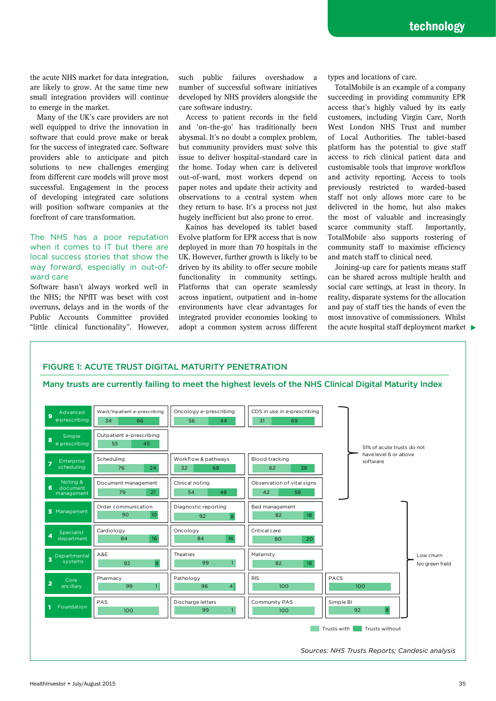the acute NHS market for data integration, are likely to grow. At the same time new small integration providers will continue to emerge in the market.

Many of the UK's care providers are not well equipped to drive the innovation in software that could prove make or break for the success of integrated care. Software providers able to anticipate and pitch solutions to new challenges emerging from different care models will prove most successful. Engagement in the process of developing integrated care solutions will position software companies at the forefront of care transformation.

## The NHS has a poor reputation when it comes to IT but there are local success stories that show the way forward, especially in out-ofward care

Software hasn't always worked well in the NHS; the NPfIT was beset with cost overruns, delays and in the words of the Public Accounts Committee provided such public failures overshadow a number of successful software initiatives developed by NHS providers alongside the care software industry.

Access to patient records in the field and 'on-the-go' has traditionally been abysmal. It's no doubt a complex problem, but community providers must solve this issue to deliver hospital-standard care in the home. Today when care is delivered out-of-ward, most workers depend on paper notes and update their activity and observations to a central system when they return to base. It's a process not just hugely inefficient but also prone to error.

Kainos has developed its tablet based Evolve platform for EPR access that is now deployed in more than 70 hospitals in the UK. However, further growth is likely to be driven by its ability to offer secure mobile functionality in community settings. Platforms that can operate seamlessly across inpatient, outpatient and in-home environments have clear advantages for integrated provider economies looking to adopt a common system across different

types and locations of care.

TotalMobile is an example of a company succeeding in providing community EPR access that's highly valued by its early customers, including Virgin Care, North West London NHS Trust and number of Local Authorities. The tablet-based platform has the potential to give staff access to rich clinical patient data and customisable tools that improve workflow and activity reporting. Access to tools previously restricted to warded-based staff not only allows more care to be delivered in the home, but also makes the most of valuable and increasingly scarce community staff. Importantly, TotalMobile also supports rostering of community staff to maximise efficiency and match staff to clinical need.

"little clinical functionality". However, adopt a common system across different the acute hospital staff deployment market Joining-up care for patients means staff can be shared across multiple health and social care settings, at least in theory. In reality, disparate systems for the allocation and pay of staff ties the hands of even the most innovative of commissioners. Whilst

### FIGURE 1: ACUTE TRUST DIGITAL MATURITY PENETRATION

Many trusts are currently failing to meet the highest levels of the NHS Clinical Digital Maturity Index

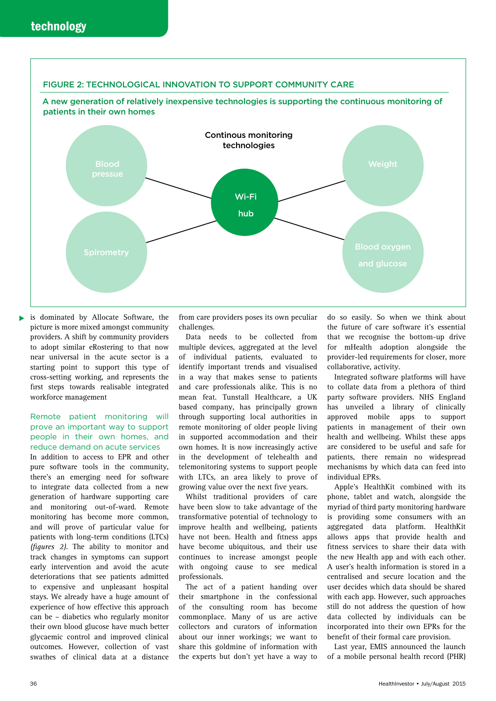

▶ is dominated by Allocate Software, the picture is more mixed amongst community providers. A shift by community providers to adopt similar eRostering to that now near universal in the acute sector is a starting point to support this type of cross-setting working, and represents the first steps towards realisable integrated workforce management

### Remote patient monitoring will prove an important way to support people in their own homes, and reduce demand on acute services

In addition to access to EPR and other pure software tools in the community, there's an emerging need for software to integrate data collected from a new generation of hardware supporting care and monitoring out-of-ward. Remote monitoring has become more common, and will prove of particular value for patients with long-term conditions (LTCs) *(figures 2)*. The ability to monitor and track changes in symptoms can support early intervention and avoid the acute deteriorations that see patients admitted to expensive and unpleasant hospital stays. We already have a huge amount of experience of how effective this approach can be – diabetics who regularly monitor their own blood glucose have much better glycaemic control and improved clinical outcomes. However, collection of vast swathes of clinical data at a distance from care providers poses its own peculiar challenges.

Data needs to be collected from multiple devices, aggregated at the level of individual patients, evaluated to identify important trends and visualised in a way that makes sense to patients and care professionals alike. This is no mean feat. Tunstall Healthcare, a UK based company, has principally grown through supporting local authorities in remote monitoring of older people living in supported accommodation and their own homes. It is now increasingly active in the development of telehealth and telemonitoring systems to support people with LTCs, an area likely to prove of growing value over the next five years.

Whilst traditional providers of care have been slow to take advantage of the transformative potential of technology to improve health and wellbeing, patients have not been. Health and fitness apps have become ubiquitous, and their use continues to increase amongst people with ongoing cause to see medical professionals.

The act of a patient handing over their smartphone in the confessional of the consulting room has become commonplace. Many of us are active collectors and curators of information about our inner workings; we want to share this goldmine of information with the experts but don't yet have a way to

do so easily. So when we think about the future of care software it's essential that we recognise the bottom-up drive for mHealth adoption alongside the provider-led requirements for closer, more collaborative, activity.

Integrated software platforms will have to collate data from a plethora of third party software providers. NHS England has unveiled a library of clinically approved mobile apps to support patients in management of their own health and wellbeing. Whilst these apps are considered to be useful and safe for patients, there remain no widespread mechanisms by which data can feed into individual EPRs.

Apple's HealthKit combined with its phone, tablet and watch, alongside the myriad of third party monitoring hardware is providing some consumers with an aggregated data platform. HealthKit allows apps that provide health and fitness services to share their data with the new Health app and with each other. A user's health information is stored in a centralised and secure location and the user decides which data should be shared with each app. However, such approaches still do not address the question of how data collected by individuals can be incorporated into their own EPRs for the benefit of their formal care provision.

Last year, EMIS announced the launch of a mobile personal health record (PHR)